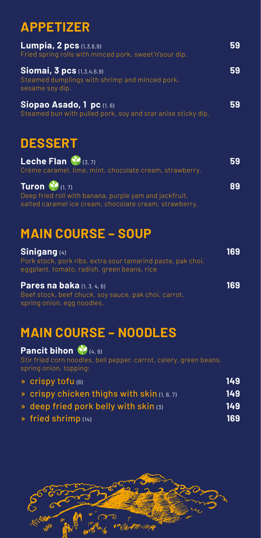# **APPETIZER**

| Lumpia, 2 pcs (1,3,6,9)<br>Fried spring rolls with minced pork, sweet'n'sour dip.                     | 59 |
|-------------------------------------------------------------------------------------------------------|----|
| <b>Siomai, 3 pcs</b> (1,3,4,6,9)<br>Steamed dumplings with shrimp and minced pork,<br>sesame soy dip. | 59 |
| Siopao Asado, 1 pc (1, 6)<br>Steamed bun with pulled pork, soy and star anise sticky dip.             | 59 |

**DESSERT**

| Leche Flan (3,7)<br>Crème caramel, lime, mint, chocolate cream, strawberry.                                                                | 59 |
|--------------------------------------------------------------------------------------------------------------------------------------------|----|
| Turon $\bullet$ (1, 7)<br>Deep fried roll with banana, purple yam and jackfruit,<br>salted caramel ice cream, chocolate cream, strawberry. | 89 |

### **MAIN COURSE – SOUP**

| Sinigang (4)                                                | 169 |
|-------------------------------------------------------------|-----|
| Pork stock, pork ribs, extra sour tamarind paste, pak choi, |     |
| eggplant, tomato, radish, green beans, rice                 |     |
| <b>Pares na baka</b> $(1, 3, 4, 6)$                         | 169 |
| Beef stock, beef chuck, soy sauce, pak choi, carrot,        |     |
| spring onion, egg noodles.                                  |     |

#### **MAIN COURSE – NOODLES**

#### Pancit bihon <sup>(2</sup>) (4, 9)

Stir fried corn noodles, bell pepper, carrot, celery, green beans, spring onion, topping:

| $\sqrt{p}$ crispy tofu $(6)$                          | 149 |
|-------------------------------------------------------|-----|
| $\bullet$ crispy chicken thighs with skin $(1, 6, 7)$ | 149 |
| » deep fried pork belly with skin (3)                 | 149 |
| $\boldsymbol{\delta}$ fried shrimp (14)               | 169 |